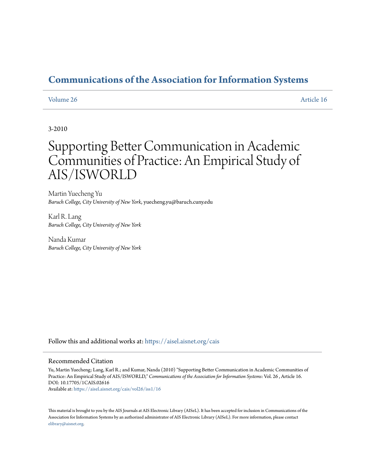# **[Communications of the Association for Information Systems](https://aisel.aisnet.org/cais?utm_source=aisel.aisnet.org%2Fcais%2Fvol26%2Fiss1%2F16&utm_medium=PDF&utm_campaign=PDFCoverPages)**

#### [Volume 26](https://aisel.aisnet.org/cais/vol26?utm_source=aisel.aisnet.org%2Fcais%2Fvol26%2Fiss1%2F16&utm_medium=PDF&utm_campaign=PDFCoverPages) [Article 16](https://aisel.aisnet.org/cais/vol26/iss1/16?utm_source=aisel.aisnet.org%2Fcais%2Fvol26%2Fiss1%2F16&utm_medium=PDF&utm_campaign=PDFCoverPages)

#### 3-2010

# Supporting Better Communication in Academic Communities of Practice: An Empirical Study of AIS/ISWORLD

Martin Yuecheng Yu *Baruch College, City University of New York*, yuecheng.yu@baruch.cuny.edu

Karl R. Lang *Baruch College, City University of New York*

Nanda Kumar *Baruch College, City University of New York*

Follow this and additional works at: [https://aisel.aisnet.org/cais](https://aisel.aisnet.org/cais?utm_source=aisel.aisnet.org%2Fcais%2Fvol26%2Fiss1%2F16&utm_medium=PDF&utm_campaign=PDFCoverPages)

#### Recommended Citation

Yu, Martin Yuecheng; Lang, Karl R.; and Kumar, Nanda (2010) "Supporting Better Communication in Academic Communities of Practice: An Empirical Study of AIS/ISWORLD," *Communications of the Association for Information Systems*: Vol. 26 , Article 16. DOI: 10.17705/1CAIS.02616

Available at: [https://aisel.aisnet.org/cais/vol26/iss1/16](https://aisel.aisnet.org/cais/vol26/iss1/16?utm_source=aisel.aisnet.org%2Fcais%2Fvol26%2Fiss1%2F16&utm_medium=PDF&utm_campaign=PDFCoverPages)

This material is brought to you by the AIS Journals at AIS Electronic Library (AISeL). It has been accepted for inclusion in Communications of the Association for Information Systems by an authorized administrator of AIS Electronic Library (AISeL). For more information, please contact [elibrary@aisnet.org.](mailto:elibrary@aisnet.org%3E)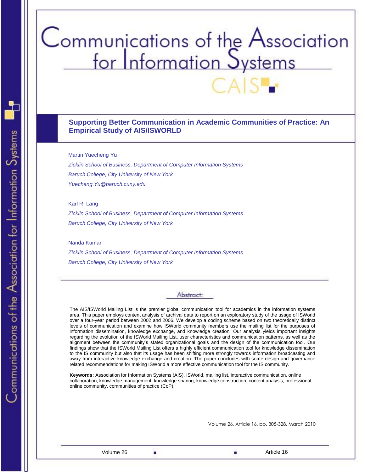# Communications of the Association<br>for Information Systems

#### **Supporting Better Communication in Academic Communities of Practice: An Empirical Study of AIS/ISWORLD**

Martin Yuecheng Yu

*Zicklin School of Business, Department of Computer Information Systems Baruch College, City University of New York Yuecheng.Yu@baruch.cuny.edu*

Karl R. Lang

*Zicklin School of Business, Department of Computer Information Systems Baruch College, City University of New York*

Nanda Kumar

*Zicklin School of Business, Department of Computer Information Systems Baruch College, City University of New York*

# Abstract:

The AIS/ISWorld Mailing List is the premier global communication tool for academics in the information systems area. This paper employs content analysis of archival data to report on an exploratory study of the usage of ISWorld over a four-year period between 2002 and 2006. We develop a coding scheme based on two theoretically distinct levels of communication and examine how ISWorld community members use the mailing list for the purposes of information dissemination, knowledge exchange, and knowledge creation. Our analysis yields important insights regarding the evolution of the ISWorld Mailing List, user characteristics and communication patterns, as well as the alignment between the community's stated organizational goals and the design of the communication tool. Our findings show that the ISWorld Mailing List offers a highly efficient communication tool for knowledge dissemination to the IS community but also that its usage has been shifting more strongly towards information broadcasting and away from interactive knowledge exchange and creation. The paper concludes with some design and governance related recommendations for making ISWorld a more effective communication tool for the IS community.

**Keywords:** Association for Information Systems (AIS), ISWorld, mailing list, interactive communication, online collaboration, knowledge management, knowledge sharing, knowledge construction, content analysis, professional online community, communities of practice (CoP).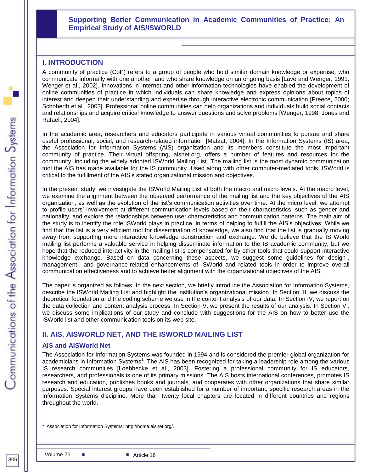#### **Supporting Better Communication in Academic Communities of Practice: An Empirical Study of AIS/ISWORLD**

#### **I. INTRODUCTION**

A community of practice (CoP) refers to a group of people who hold similar domain knowledge or expertise, who communicate informally with one another, and who share knowledge on an ongoing basis [Lave and Wenger, 1991; Wenger et al., 2002]. Innovations in Internet and other information technologies have enabled the development of online communities of practice in which individuals can share knowledge and express opinions about topics of interest and deepen their understanding and expertise through interactive electronic communication [Preece, 2000; Schoberth et al., 2003]. Professional online communities can help organizations and individuals build social contacts and relationships and acquire critical knowledge to answer questions and solve problems [Wenger, 1998; Jones and Rafaeli, 2004].

In the academic area, researchers and educators participate in various virtual communities to pursue and share useful professional, social, and research-related information [Matzat, 2004]. In the Information Systems (IS) area, the Association for Information Systems (AIS) organization and its members constitute the most important community of practice. Their virtual offspring, aisnet.org, offers a number of features and resources for the community, including the widely adopted ISWorld Mailing List. The mailing list is the most dynamic communication tool the AIS has made available for the IS community. Used along with other computer-mediated tools, ISWorld is critical to the fulfillment of the AIS's stated organizational mission and objectives.

In the present study, we investigate the ISWorld Mailing List at both the macro and micro levels. At the macro level, we examine the alignment between the observed performance of the mailing list and the key objectives of the AIS organization, as well as the evolution of the list's communication activities over time. At the micro level, we attempt to profile users' involvement at different communication levels based on their characteristics, such as gender and nationality, and explore the relationships between user characteristics and communication patterns. The main aim of the study is to identify the role ISWorld plays in practice, in terms of helping to fulfill the AIS's objectives. While we find that the list is a very efficient tool for dissemination of knowledge, we also find that the list is gradually moving away from supporting more interactive knowledge construction and exchange. We do believe that the IS World mailing list performs a valuable service in helping disseminate information to the IS academic community, but we hope that the reduced interactivity in the mailing list is compensated for by other tools that could support interactive knowledge exchange. Based on data concerning these aspects, we suggest some guidelines for design-, management-, and governance-related enhancements of ISWorld and related tools in order to improve overall communication effectiveness and to achieve better alignment with the organizational objectives of the AIS.

The paper is organized as follows. In the next section, we briefly introduce the Association for Information Systems, describe the ISWorld Mailing List and highlight the institution's organizational mission. In Section III, we discuss the theoretical foundation and the coding scheme we use in the content analysis of our data. In Section IV, we report on the data collection and content analysis process. In Section V, we present the results of our analysis. In Section VI, we discuss some implications of our study and conclude with suggestions for the AIS on how to better use the ISWorld list and other communication tools on its web site.

#### **II. AIS, AISWORLD NET, AND THE ISWORLD MAILING LIST**

#### **AIS and AISWorld Net**

**Supporting Better Communication in Academic Communities of Practice: An**  The Association for Information Systems was founded in 1994 and is considered the premier global organization for academicians in Information Systems<sup>1</sup>. The AIS has been recognized for taking a leadership role among the various IS research communities [Loebbecke et al., 2003]. Fostering a professional community for IS educators, researchers, and professionals is one of its primary missions. The AIS hosts international conferences, promotes IS research and education, publishes books and journals, and cooperates with other organizations that share similar purposes. Special interest groups have been established for a number of important, specific research areas in the Information Systems discipline. More than twenty local chapters are located in different countries and regions throughout the world.

l Association for Information Systems; http://home.aisnet.org/.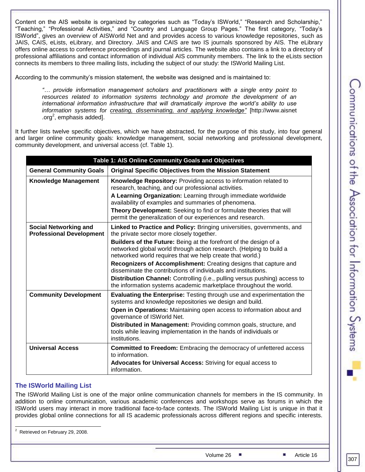Content on the AIS website is organized by categories such as "Today's ISWorld," "Research and Scholarship," "Teaching," "Professional Activities," and "Country and Language Group Pages." The first category, "Today's ISWorld‖, gives an overview of AISWorld Net and and provides access to various knowledge repositories, such as JAIS, CAIS, eLists, eLibrary, and Directory. JAIS and CAIS are two IS journals sponsored by AIS. The eLibrary offers online access to conference proceedings and journal articles. The website also contains a link to a directory of professional affiliations and contact information of individual AIS community members. The link to the eLists section connects its members to three mailing lists, including the subject of our study: the ISWorld Mailing List.

According to the community's mission statement, the website was designed and is maintained to:

*"… provide information management scholars and practitioners with a single entry point to resources related to information systems technology and promote the development of an international information infrastructure that will dramatically improve the world's ability to use information systems for creating, disseminating, and applying knowledge"* [http://www.aisnet .org<sup>2</sup>, emphasis added].

It further lists twelve specific objectives, which we have abstracted, for the purpose of this study, into four general and larger online community goals: knowledge management, social networking and professional development, community development, and universal access (cf. Table 1).

| Table 1: AIS Online Community Goals and Objectives              |                                                                                                                                                                                                       |  |  |  |  |  |  |
|-----------------------------------------------------------------|-------------------------------------------------------------------------------------------------------------------------------------------------------------------------------------------------------|--|--|--|--|--|--|
| <b>General Community Goals</b>                                  | <b>Original Specific Objectives from the Mission Statement</b>                                                                                                                                        |  |  |  |  |  |  |
| <b>Knowledge Management</b>                                     | <b>Knowledge Repository:</b> Providing access to information related to<br>research, teaching, and our professional activities.                                                                       |  |  |  |  |  |  |
|                                                                 | A Learning Organization: Learning through immediate worldwide<br>availability of examples and summaries of phenomena.                                                                                 |  |  |  |  |  |  |
|                                                                 | Theory Development: Seeking to find or formulate theories that will<br>permit the generalization of our experiences and research.                                                                     |  |  |  |  |  |  |
| <b>Social Networking and</b><br><b>Professional Development</b> | Linked to Practice and Policy: Bringing universities, governments, and<br>the private sector more closely together.                                                                                   |  |  |  |  |  |  |
|                                                                 | Builders of the Future: Being at the forefront of the design of a<br>networked global world through action research. (Helping to build a<br>networked world requires that we help create that world.) |  |  |  |  |  |  |
|                                                                 | Recognizers of Accomplishment: Creating designs that capture and<br>disseminate the contributions of individuals and institutions.                                                                    |  |  |  |  |  |  |
|                                                                 | Distribution Channel: Controlling (i.e., pulling versus pushing) access to<br>the information systems academic marketplace throughout the world.                                                      |  |  |  |  |  |  |
| <b>Community Development</b>                                    | Evaluating the Enterprise: Testing through use and experimentation the<br>systems and knowledge repositories we design and build.                                                                     |  |  |  |  |  |  |
|                                                                 | Open in Operations: Maintaining open access to information about and<br>governance of ISWorld Net.                                                                                                    |  |  |  |  |  |  |
|                                                                 | Distributed in Management: Providing common goals, structure, and<br>tools while leaving implementation in the hands of individuals or<br>institutions.                                               |  |  |  |  |  |  |
| <b>Universal Access</b>                                         | <b>Committed to Freedom:</b> Embracing the democracy of unfettered access<br>to information.                                                                                                          |  |  |  |  |  |  |
|                                                                 | <b>Advocates for Universal Access: Striving for equal access to</b><br>information.                                                                                                                   |  |  |  |  |  |  |

#### **The ISWorld Mailing List**

The ISWorld Mailing List is one of the major online communication channels for members in the IS community. In addition to online communication, various academic conferences and workshops serve as forums in which the ISWorld users may interact in more traditional face-to-face contexts. The ISWorld Mailing List is unique in that it provides global online connections for all IS academic professionals across different regions and specific interests.

l  $2^2$  Retrieved on February 29, 2008.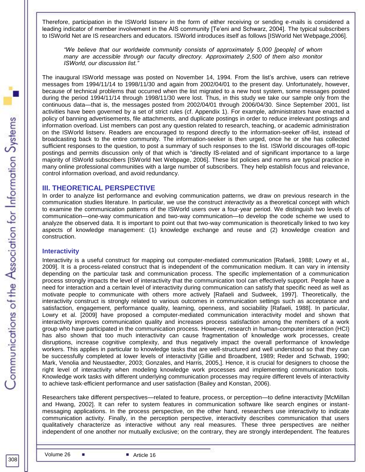Therefore, participation in the ISWorld listserv in the form of either receiving or sending e-mails is considered a leading indicator of member involvement in the AIS community [Te'eni and Schwarz, 2004]. The typical subscribers to ISWorld Net are IS researchers and educators. ISWorld introduces itself as follows [ISWorld Net Webpage,2006].

*"We believe that our worldwide community consists of approximately 5,000 [people] of whom many are accessible through our faculty directory. Approximately 2,500 of them also monitor ISWorld, our discussion list."*

The inaugural ISWorld message was posted on November 14, 1994. From the list's archive, users can retrieve messages from 1994/11/14 to 1998/11/30 and again from 2002/04/01 to the present day. Unfortunately, however, because of technical problems that occurred when the list migrated to a new host system, some messages posted during the period 1994/11/14 through 1998/11/30 were lost. Thus, in this study we take our sample only from the continuous data—that is, the messages posted from 2002/04/01 through 2006/04/30. Since September 2001, list activities have been governed by a set of strict rules (cf. Appendix 1). For example, administrators have enacted a policy of banning advertisements, file attachments, and duplicate postings in order to reduce irrelevant postings and information overload. List members can post any question related to research, teaching, or academic administration on the ISWorld listserv. Readers are encouraged to respond directly to the information-seeker off-list, instead of broadcasting back to the entire community. The information-seeker is then urged, once he or she has collected sufficient responses to the question, to post a summary of such responses to the list. ISWorld discourages off-topic postings and permits discussion only of that which is "directly IS-related and of significant importance to a large majority of ISWorld subscribers [ISWorld Net Webpage, 2006]. These list policies and norms are typical practice in many online professional communities with a large number of subscribers. They help establish focus and relevance, control information overload, and avoid redundancy.

#### **III. THEORETICAL PERSPECTIVE**

In order to analyze list performance and evolving communication patterns, we draw on previous research in the communication studies literature. In particular, we use the construct *interactivity* as a theoretical concept with which to examine the communication patterns of the ISWorld users over a four-year period. We distinguish two levels of communication—one-way communication and two-way communication—to develop the code scheme we used to analyze the observed data. It is important to point out that two-way communication is theoretically linked to two key aspects of knowledge management: (1) knowledge exchange and reuse and (2) knowledge creation and construction.

#### **Interactivity**

Interactivity is a useful construct for mapping out computer-mediated communication [Rafaeli, 1988; Lowry et al., 2009]. It is a process-related construct that is independent of the communication medium. It can vary in intensity depending on the particular task and communication process. The specific implementation of a communication process strongly impacts the level of interactivity that the communication tool can effectively support. People have a need for interaction and a certain level of interactivity during communication can satisfy that specific need as well as motivate people to communicate with others more actively [Rafaeli and Sudweek, 1997]. Theoretically, the interactivity construct is strongly related to various outcomes in communication settings such as acceptance and satisfaction, engagement, performance quality, learning, openness, and sociability [Rafaeli, 1988]. In particular, Lowry et al. [2009] have proposed a computer-mediated communication interactivity model and shown that interactivity improves communication quality and increases process satisfaction among the members of a work group who have participated in the communication process. However, research in human-computer interaction (HCI) has also shown that too much interactivity can cause fragmentation of knowledge work processes, create disruptions, increase cognitive complexity, and thus negatively impact the overall performance of knowledge workers. This applies in particular to knowledge tasks that are well-structured and well understood so that they can be successfully completed at lower levels of interactivity [Gillie and Broadbent, 1989; Reder and Schwab, 1990; Mark, Venolia and Neustaedter, 2003; Gonzales, and Harris, 2005,]. Hence, it is crucial for designers to choose the right level of interactivity when modeling knowledge work processes and implementing communication tools. Knowledge work tasks with different underlying communication processes may require different levels of interactivity to achieve task-efficient performance and user satisfaction (Bailey and Konstan, 2006).

Researchers take different perspectives—related to feature, process, or perception—to define interactivity [McMillan and Hwang, 2002]. It can refer to system features in communication software like search engines or instantmessaging applications. In the process perspective, on the other hand, researchers use interactivity to indicate communication activity. Finally, in the perception perspective, interactivity describes communication that users qualitatively characterize as interactive without any real measures. These three perspectives are neither independent of one another nor mutually exclusive; on the contrary, they are strongly interdependent. The features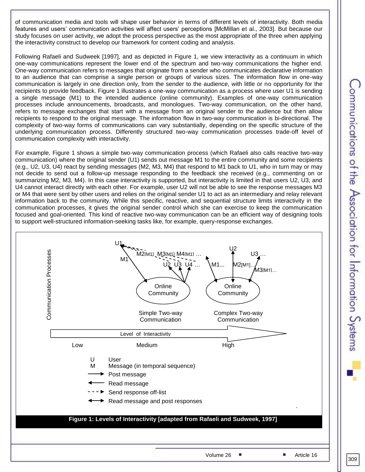of communication media and tools will shape user behavior in terms of different levels of interactivity. Both media features and users' communication activities will affect users' perceptions [McMillan et al., 2003]. But because our study focuses on user activity, we adopt the process perspective as the most appropriate of the three when applying the interactivity construct to develop our framework for content coding and analysis.

Following Rafaeli and Sudweek [1997], and as depicted in Figure 1, we view interactivity as a continuum in which one-way communications represent the lower end of the spectrum and two-way communications the higher end. One-way communication refers to messages that originate from a sender who communicates declarative information to an audience that can comprise a single person or groups of various sizes. The information flow in one-way communication is largely in one direction only, from the sender to the audience, with little or no opportunity for the recipients to provide feedback. Figure 1 illustrates a one-way communication as a process where user U1 is sending a single message (M1) to the intended audience (online community). Examples of one-way communication processes include announcements, broadcasts, and monologues. Two-way communication, on the other hand, refers to message exchanges that start with a message from an original sender to the audience but then allow recipients to respond to the original message. The information flow in two-way communication is bi-directional. The complexity of two-way forms of communications can vary substantially, depending on the specific structure of the underlying communication process. Differently structured two-way communication processes trade-off level of communication complexity with interactivity.

For example, Figure 1 shows a simple two-way communication process (which Rafaeli also calls reactive two-way communication) where the original sender (U1) sends out message M1 to the entire community and some recipients (e.g., U2, U3, U4) react by sending messages (M2, M3, M4) that respond to M1 back to U1, who in turn may or may not decide to send out a follow-up message responding to the feedback she received (e.g., commenting on or summarizing M2, M3, M4). In this case interactivity is supported, but interactivity is limited in that users U2, U3, and U4 cannot interact directly with each other. For example, user U2 will not be able to see the response messages M3 or M4 that were sent by other users and relies on the original sender U1 to act as an intermediary and relay relevant information back to the community. While this specific, reactive, and sequential structure limits interactivity in the communication processes, it gives the original sender control which she can exercise to keep the communication focused and goal-oriented. This kind of reactive two-way communication can be an efficient way of designing tools to support well-structured information-seeking tasks like, for example, query-response exchanges.



309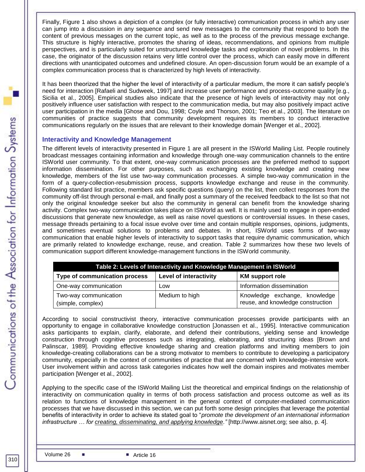Finally, Figure 1 also shows a depiction of a complex (or fully interactive) communication process in which any user can jump into a discussion in any sequence and send new messages to the community that respond to both the content of previous messages on the current topic, as well as to the process of the previous message exchange. This structure is highly interactive, promotes the sharing of ideas, recommendations, and opinions from multiple perspectives, and is particularly suited for unstructured knowledge tasks and exploration of novel problems. In this case, the originator of the discussion retains very little control over the process, which can easily move in different directions with unanticipated outcomes and undefined closure. An open-discussion forum would be an example of a complex communication process that is characterized by high levels of interactivity.

It has been theorized that the higher the level of interactivity of a particular medium, the more it can satisfy people's need for interaction [Rafaeli and Sudweek, 1997] and increase user performance and process-outcome quality [e.g., Sicilia et al., 2005]. Empirical studies also indicate that the presence of high levels of interactivity may not only positively influence user satisfaction with respect to the communication media, but may also positively impact active user participation in the media [Ghose and Dou, 1998; Coyle and Thorson, 2001; Teo et al., 2003]. The literature on communities of practice suggests that community development requires its members to conduct interactive communications regularly on the issues that are relevant to their knowledge domain [Wenger et al., 2002].

#### **Interactivity and Knowledge Management**

The different levels of interactivity presented in Figure 1 are all present in the ISWorld Mailing List. People routinely broadcast messages containing information and knowledge through one-way communication channels to the entire ISWorld user community. To that extent, one-way communication processes are the preferred method to support information dissemination. For other purposes, such as exchanging existing knowledge and creating new knowledge, members of the list use two-way communication processes. A simple two-way communication in the form of a query-collection-resubmission process, supports knowledge exchange and reuse in the community. Following standard list practice, members ask specific questions (query) on the list, then collect responses from the community off-list through personal e-mail, and finally post a summary of the received feedback to the list so that not only the original knowledge seeker but also the community in general can benefit from the knowledge sharing activity. Complex two-way communication takes place on ISWorld as well. It is mainly used to engage in open-ended discussions that generate new knowledge, as well as raise novel questions or controversial issues. In these cases, message threads pertaining to a focal issue evolve over time and contain multiple responses, opinions, judgments, and sometimes eventual solutions to problems and debates. In short, ISWorld uses forms of two-way communication that enable higher levels of interactivity to support tasks that require dynamic communication, which are primarily related to knowledge exchange, reuse, and creation. Table 2 summarizes how these two levels of communication support different knowledge-management functions in the ISWorld community.

| Table 2: Levels of Interactivity and Knowledge Management in ISWorld                     |                |                                                                    |  |  |  |  |  |  |  |
|------------------------------------------------------------------------------------------|----------------|--------------------------------------------------------------------|--|--|--|--|--|--|--|
| <b>Level of interactivity</b><br>Type of communication process<br><b>KM</b> support role |                |                                                                    |  |  |  |  |  |  |  |
| One-way communication                                                                    | Low            | Information dissemination                                          |  |  |  |  |  |  |  |
| Two-way communication<br>(simple, complex)                                               | Medium to high | Knowledge exchange, knowledge<br>reuse, and knowledge construction |  |  |  |  |  |  |  |

According to social constructivist theory, interactive communication processes provide participants with an opportunity to engage in collaborative knowledge construction [Jonassen et al., 1995]. Interactive communication asks participants to explain, clarify, elaborate, and defend their contributions, yielding sense and knowledge construction through cognitive processes such as integrating, elaborating, and structuring ideas [Brown and Palinscar, 1989]. Providing effective knowledge sharing and creation platforms and inviting members to join knowledge-creating collaborations can be a strong motivator to members to contribute to developing a participatory community, especially in the context of communities of practice that are concerned with knowledge-intensive work. User involvement within and across task categories indicates how well the domain inspires and motivates member participation [Wenger et al., 2002].

Applying to the specific case of the ISWorld Mailing List the theoretical and empirical findings on the relationship of interactivity on communication quality in terms of both process satisfaction and process outcome as well as its relation to functions of knowledge management in the general context of computer-mediated communication processes that we have discussed in this section, we can put forth some design principles that leverage the potential benefits of interactivity in order to achieve its stated goal to "*promote the development of an international information infrastructure … for creating, disseminating, and applying knowledge."* [http://www.aisnet.org; see also, p. 4].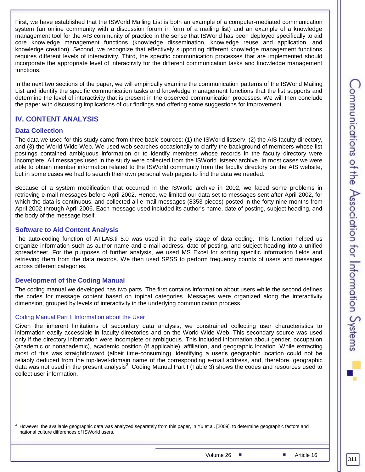First, we have established that the ISWorld Mailing List is both an example of a computer-mediated communication system (an online community with a discussion forum in form of a mailing list) and an example of a knowledge management tool for the AIS community of practice in the sense that ISWorld has been deployed specifically to aid core knowledge management functions (knowledge dissemination, knowledge reuse and application, and knowledge creation). Second, we recognize that effectively supporting different knowledge management functions requires different levels of interactivity. Third, the specific communication processes that are implemented should incorporate the appropriate level of interactivity for the different communication tasks and knowledge management functions.

In the next two sections of the paper, we will empirically examine the communication patterns of the ISWorld Mailing List and identify the specific communication tasks and knowledge management functions that the list supports and determine the level of interactivity that is present in the observed communication processes. We will then conclude the paper with discussing implications of our findings and offering some suggestions for improvement.

# **IV. CONTENT ANALYSIS**

#### **Data Collection**

The data we used for this study came from three basic sources: (1) the ISWorld listserv, (2) the AIS faculty directory, and (3) the World Wide Web. We used web searches occasionally to clarify the background of members whose list postings contained ambiguous information or to identify members whose records in the faculty directory were incomplete. All messages used in the study were collected from the ISWorld listserv archive. In most cases we were able to obtain member information related to the ISWorld community from the faculty directory on the AIS website, but in some cases we had to search their own personal web pages to find the data we needed.

Because of a system modification that occurred in the ISWorld archive in 2002, we faced some problems in retrieving e-mail messages before April 2002. Hence, we limited our data set to messages sent after April 2002, for which the data is continuous, and collected all e-mail messages (8353 pieces) posted in the forty-nine months from April 2002 through April 2006. Each message used included its author's name, date of posting, subject heading, and the body of the message itself.

#### **Software to Aid Content Analysis**

The auto-coding function of ATLAS.ti 5.0 was used in the early stage of data coding. This function helped us organize information such as author name and e-mail address, date of posting, and subject heading into a unified spreadsheet. For the purposes of further analysis, we used MS Excel for sorting specific information fields and retrieving them from the data records. We then used SPSS to perform frequency counts of users and messages across different categories.

#### **Development of the Coding Manual**

The coding manual we developed has two parts. The first contains information about users while the second defines the codes for message content based on topical categories. Messages were organized along the interactivity dimension, grouped by levels of interactivity in the underlying communication process.

#### Coding Manual Part I: Information about the User

Given the inherent limitations of secondary data analysis, we constrained collecting user characteristics to information easily accessible in faculty directories and on the World Wide Web. This secondary source was used only if the directory information were incomplete or ambiguous. This included information about gender, occupation (academic or nonacademic), academic position (if applicable), affiliation, and geographic location. While extracting most of this was straightforward (albeit time-consuming), identifying a user's geographic location could not be reliably deduced from the top-level-domain name of the corresponding e-mail address, and, therefore, geographic data was not used in the present analysis<sup>3</sup>. Coding Manual Part I (Table 3) shows the codes and resources used to collect user information.

 $3$  However, the available geographic data was analyzed separately from this paper, in Yu et al. [2009], to determine geographic factors and national culture differences of ISWorld users.

Volume 26 **Article 16** Article 16

311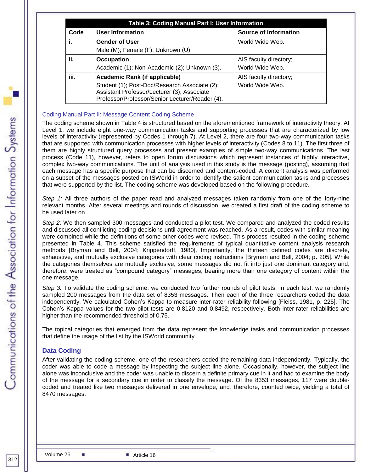| Code | <b>User Information</b>                                                                                                                         | <b>Source of Information</b> |
|------|-------------------------------------------------------------------------------------------------------------------------------------------------|------------------------------|
| i.   | <b>Gender of User</b>                                                                                                                           | World Wide Web.              |
|      | Male (M); Female (F); Unknown (U).                                                                                                              |                              |
| ii.  | <b>Occupation</b>                                                                                                                               | AIS faculty directory;       |
|      | Academic (1); Non-Academic (2); Unknown (3).                                                                                                    | World Wide Web.              |
| iii. | Academic Rank (if applicable)                                                                                                                   | AIS faculty directory;       |
|      | Student (1); Post-Doc/Research Associate (2);<br>Assistant Professor/Lecturer (3); Associate<br>Professor/Professor/Senior Lecturer/Reader (4). | World Wide Web.              |

#### Coding Manual Part II: Message Content Coding Scheme

The coding scheme shown in Table 4 is structured based on the aforementioned framework of interactivity theory. At Level 1, we include eight one-way communication tasks and supporting processes that are characterized by low levels of interactivity (represented by Codes 1 through 7). At Level 2, there are four two-way communication tasks that are supported with communication processes with higher levels of interactivity (Codes 8 to 11). The first three of them are highly structured query processes and present examples of simple two-way communications. The last process (Code 11), however, refers to open forum discussions which represent instances of highly interactive, complex two-way communications. The unit of analysis used in this study is the message (posting), assuming that each message has a specific purpose that can be discerned and content-coded. A content analysis was performed on a subset of the messages posted on ISWorld in order to identify the salient communication tasks and processes that were supported by the list. The coding scheme was developed based on the following procedure.

*Step 1:* All three authors of the paper read and analyzed messages taken randomly from one of the forty-nine relevant months. After several meetings and rounds of discussion, we created a first draft of the coding scheme to be used later on.

*Step 2:* We then sampled 300 messages and conducted a pilot test. We compared and analyzed the coded results and discussed all conflicting coding decisions until agreement was reached. As a result, codes with similar meaning were combined while the definitions of some other codes were revised. This process resulted in the coding scheme presented in Table 4. This scheme satisfied the requirements of typical quantitative content analysis research methods [Bryman and Bell, 2004; Krippendorff, 1980]. Importantly, the thirteen defined codes are discrete, exhaustive, and mutually exclusive categories with clear coding instructions [Bryman and Bell, 2004; p. 205]. While the categories themselves are mutually exclusive, some messages did not fit into just one dominant category and, therefore, were treated as "compound category" messages, bearing more than one category of content within the one message.

*Step 3:* To validate the coding scheme, we conducted two further rounds of pilot tests. In each test, we randomly sampled 200 messages from the data set of 8353 messages. Then each of the three researchers coded the data independently. We calculated Cohen's Kappa to measure inter-rater reliability following [Fleiss, 1981, p. 225]. The Cohen's Kappa values for the two pilot tests are 0.8120 and 0.8492, respectively. Both inter-rater reliabilities are higher than the recommended threshold of 0.75.

The topical categories that emerged from the data represent the knowledge tasks and communication processes that define the usage of the list by the ISWorld community.

#### **Data Coding**

After validating the coding scheme, one of the researchers coded the remaining data independently. Typically, the coder was able to code a message by inspecting the subject line alone. Occasionally, however, the subject line alone was inconclusive and the coder was unable to discern a definite primary cue in it and had to examine the body of the message for a secondary cue in order to classify the message. Of the 8353 messages, 117 were doublecoded and treated like two messages delivered in one envelope, and, therefore, counted twice, yielding a total of 8470 messages.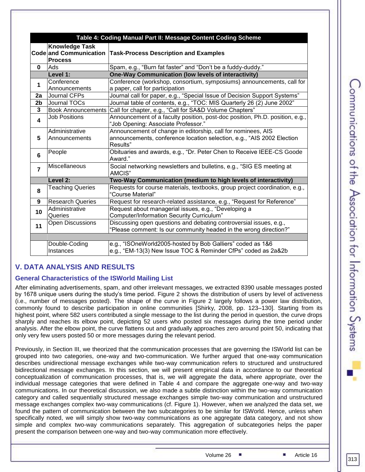|                         | Table 4: Coding Manual Part II: Message Content Coding Scheme     |                                                                                                                                                    |  |  |  |  |  |  |  |
|-------------------------|-------------------------------------------------------------------|----------------------------------------------------------------------------------------------------------------------------------------------------|--|--|--|--|--|--|--|
|                         | <b>Knowledge Task</b><br>Code and Communication<br><b>Process</b> | <b>Task-Process Description and Examples</b>                                                                                                       |  |  |  |  |  |  |  |
| 0                       | Ads                                                               | Spam, e.g., "Burn fat faster" and "Don't be a fuddy-duddy."                                                                                        |  |  |  |  |  |  |  |
|                         | Level 1:                                                          | <b>One-Way Communication (low levels of interactivity)</b>                                                                                         |  |  |  |  |  |  |  |
| 1                       | Conference<br>Announcements                                       | Conference (workshop, consortium, symposiums) announcements, call for<br>a paper, call for participation                                           |  |  |  |  |  |  |  |
| 2a                      | Journal CFPs                                                      | Journal call for paper, e.g., "Special Issue of Decision Support Systems"                                                                          |  |  |  |  |  |  |  |
| 2b                      | Journal TOCs                                                      | Journal table of contents, e.g., "TOC: MIS Quarterly 26 (2) June 2002"                                                                             |  |  |  |  |  |  |  |
| $\mathbf{3}$            | <b>Book Announcements</b>                                         | Call for chapter, e.g., "Call for SA&D Volume Chapters"                                                                                            |  |  |  |  |  |  |  |
| $\overline{\mathbf{4}}$ | <b>Job Positions</b>                                              | Announcement of a faculty position, post-doc position, Ph.D. position, e.g.,<br>"Job Opening: Associate Professor."                                |  |  |  |  |  |  |  |
| 5                       | Administrative<br>Announcements                                   | Announcement of change in editorship, call for nominees, AIS<br>announcements, conference location selection, e.g., "AIS 2002 Election<br>Results" |  |  |  |  |  |  |  |
| 6                       | People                                                            | Obituaries and awards, e.g., "Dr. Peter Chen to Receive IEEE-CS Goode<br>Award."                                                                   |  |  |  |  |  |  |  |
| $\overline{7}$          | Miscellaneous                                                     | Social networking newsletters and bulletins, e.g., "SIG ES meeting at<br>AMCIS"                                                                    |  |  |  |  |  |  |  |
|                         | Level 2:                                                          | Two-Way Communication (medium to high levels of interactivity)                                                                                     |  |  |  |  |  |  |  |
| 8                       | <b>Teaching Queries</b>                                           | Requests for course materials, textbooks, group project coordination, e.g.,<br>"Course Material"                                                   |  |  |  |  |  |  |  |
| 9                       | <b>Research Queries</b>                                           | Request for research-related assistance, e.g., "Request for Reference"                                                                             |  |  |  |  |  |  |  |
| 10                      | Administrative<br>Queries                                         | Request about managerial issues, e.g., "Developing a<br>Computer/Information Security Curriculum"                                                  |  |  |  |  |  |  |  |
| 11                      | <b>Open Discussions</b>                                           | Discussing open questions and debating controversial issues, e.g.,<br>"Please comment: Is our community headed in the wrong direction?"            |  |  |  |  |  |  |  |
|                         |                                                                   |                                                                                                                                                    |  |  |  |  |  |  |  |
|                         | Double-Coding<br>Instances                                        | e.g., "ISOneWorld2005-hosted by Bob Galliers" coded as 1&6<br>e.g., "EM-13(3) New Issue TOC & Reminder CfPs" coded as 2a&2b                        |  |  |  |  |  |  |  |

# **V. DATA ANALYSIS AND RESULTS**

#### **General Characteristics of the ISWorld Mailing List**

After eliminating advertisements, spam, and other irrelevant messages, we extracted 8390 usable messages posted by 1678 unique users during the study's time period. Figure 2 shows the distribution of users by level of activeness (i.e., number of messages posted). The shape of the curve in Figure 2 largely follows a power law distribution, commonly found to describe participation in online communities [Shirky, 2008, pp. 123–130]. Starting from its highest point, where 582 users contributed a single message to the list during the period in question, the curve drops sharply and reaches its elbow point, depicting 52 users who posted six messages during the time period under analysis. After the elbow point, the curve flattens out and gradually approaches zero around point 50, indicating that only very few users posted 50 or more messages during the relevant period.

Previously, in Section III, we theorized that the communication processes that are governing the ISWorld list can be grouped into two categories, one-way and two-communication. We further argued that one-way communication describes unidirectional message exchanges while two-way communication refers to structured and unstructured bidirectional message exchanges. In this section, we will present empirical data in accordance to our theoretical conceptualization of communication processes, that is, we will aggregate the data, where appropriate, over the individual message categories that were defined in Table 4 and compare the aggregate one-way and two-way communications. In our theoretical discussion, we also made a subtle distinction within the two-way communication category and called sequentially structured message exchanges simple two-way communication and unstructured message exchanges complex two-way communications (cf. Figure 1). However, when we analyzed the data set, we found the pattern of communication between the two subcategories to be similar for ISWorld. Hence, unless when specifically noted, we will simply show two-way communications as one aggregate data category, and not show simple and complex two-way communications separately. This aggregation of subcategories helps the paper present the comparison between one-way and two-way communication more effectively.

Volume 26 **Article 16** Article 16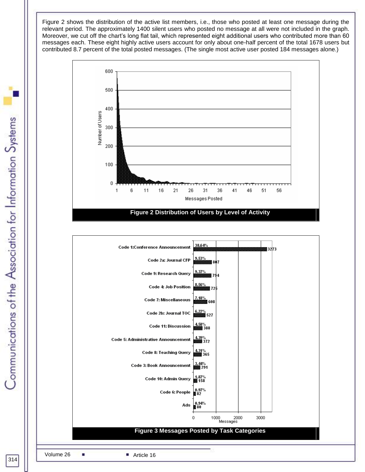Figure 2 shows the distribution of the active list members, i.e., those who posted at least one message during the relevant period. The approximately 1400 silent users who posted no message at all were not included in the graph. Moreover, we cut off the chart's long flat tail, which represented eight additional users who contributed more than 60 messages each. These eight highly active users account for only about one-half percent of the total 1678 users but contributed 8.7 percent of the total posted messages. (The single most active user posted 184 messages alone.)



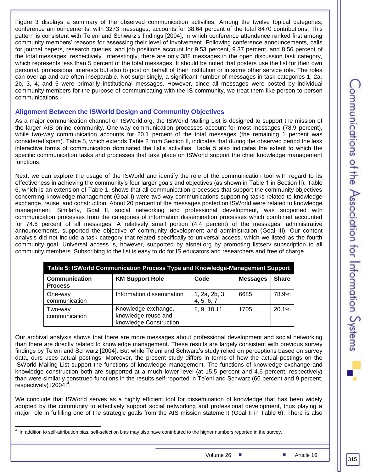Figure 3 displays a summary of the observed communication activities. Among the twelve topical categories, conference announcements, with 3273 messages, accounts for 38.64 percent of the total 8470 contributions. This pattern is consistent with Te'eni and Schwarz's findings [2004], in which conference attendance ranked first among community members' reasons for assessing their level of involvement. Following conference announcements, calls for journal papers, research queries, and job positions account for 9.53 percent, 9.37 percent, and 8.56 percent of the total messages, respectively. Interestingly, there are only 388 messages in the open discussion task category, which represents less than 5 percent of the total messages. It should be noted that posters use the list for their own personal, professional interests but also to post on behalf of their institution or in some other service role. The roles can overlap and are often inseparable. Not surprisingly, a significant number of messages in task categories 1, 2a, 2b, 3, 4, and 5 were primarily institutional messages. However, since all messages were posted by individual community members for the purpose of communicating with the IS community, we treat them like person-to-person communications.

#### **Alignment Between the ISWorld Design and Community Objectives**

As a major communication channel on ISWorld.org, the ISWorld Mailing List is designed to support the mission of the larger AIS online community. One-way communication processes account for most messages (78.9 percent), while two-way communication accounts for 20.1 percent of the total messages (the remaining 1 percent was considered spam). Table 5, which extends Table 2 from Section II, indicates that during the observed period the less interactive forms of communication dominated the list's activities. Table 5 also indicates the extent to which the specific communication tasks and processes that take place on ISWorld support the chief knowledge management functions.

Next, we can explore the usage of the ISWorld and identify the role of the communication tool with regard to its effectiveness in achieving the community's four larger goals and objectives (as shown in Table 1 in Section II). Table 6, which is an extension of Table 1, shows that all communication processes that support the community objectives concerning knowledge management (Goal I) were two-way communications supporting tasks related to knowledge exchange, reuse, and construction. About 20 percent of the messages posted on ISWorld were related to knowledge management. Similarly, Goal II, social networking and professional development, was supported with communication processes from the categories of information dissemination processes which combined accounted for 74.5 percent of all messages. A relatively small portion (4.4 percent) of the messages, administrative announcements, supported the objective of community development and administration (Goal III). Our content analysis did not include a task category that related specifically to universal access, which we listed as the fourth community goal. Universal access is, however, supported by aisnet.org by promoting listserv subscription to all community members. Subscribing to the list is easy to do for IS educators and researchers and free of charge.

| Table 5: ISWorld Communication Process Type and Knowledge-Management Support |                                                                      |                             |                 |              |  |  |  |  |  |
|------------------------------------------------------------------------------|----------------------------------------------------------------------|-----------------------------|-----------------|--------------|--|--|--|--|--|
| <b>Communication</b><br><b>Process</b>                                       | <b>KM Support Role</b>                                               | Code                        | <b>Messages</b> | <b>Share</b> |  |  |  |  |  |
| One-way<br>communication                                                     | Information dissemination                                            | 1, 2a, 2b, 3,<br>4, 5, 6, 7 | 6685            | 78.9%        |  |  |  |  |  |
| Two-way<br>communication                                                     | Knowledge exchange,<br>knowledge reuse and<br>knowledge Construction | 8, 9, 10, 11                | 1705            | 20.1%        |  |  |  |  |  |

Our archival analysis shows that there are more messages about professional development and social networking than there are directly related to knowledge management. These results are largely consistent with previous survey findings by Te'eni and Schwarz [2004]. But while Te'eni and Schwarz's study relied on perceptions based on survey data, ours uses actual postings. Moreover, the present study differs in terms of how the actual postings on the ISWorld Mailing List support the functions of knowledge management. The functions of knowledge exchange and knowledge construction both are supported at a much lower level (at 15.5 percent and 4.6 percent, respectively) than were similarly construed functions in the results self-reported in Te'eni and Schwarz (66 percent and 9 percent,  $respectively)$  [2004]<sup>4</sup>.

We conclude that ISWorld serves as a highly efficient tool for dissemination of knowledge that has been widely adopted by the community to effectively support social networking and professional development, thus playing a major role in fulfilling one of the strategic goals from the AIS mission statement (Goal II in Table 6). There is also

 4 In addition to self-attribution bias, self-selection bias may also have contributed to the higher numbers reported in the survey.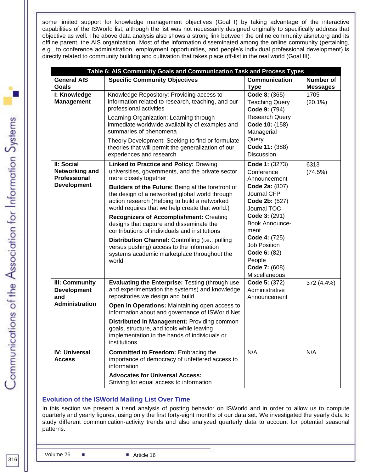some limited support for knowledge management objectives (Goal I) by taking advantage of the interactive capabilities of the ISWorld list, although the list was not necessarily designed originally to specifically address that objective as well. The above data analysis also shows a strong link between the online community aisnet.org and its offline parent, the AIS organization. Most of the information disseminated among the online community (pertaining, e.g., to conference administration, employment opportunities, and people's individual professional development) is directly related to community building and cultivation that takes place off-list in the real world (Goal III).

|                                                     | Table 6: AIS Community Goals and Communication Task and Process Types                                                                                                                                   |                                                                                                  |                                     |  |  |  |  |  |  |  |
|-----------------------------------------------------|---------------------------------------------------------------------------------------------------------------------------------------------------------------------------------------------------------|--------------------------------------------------------------------------------------------------|-------------------------------------|--|--|--|--|--|--|--|
| <b>General AIS</b><br>Goals                         | <b>Specific Community Objectives</b>                                                                                                                                                                    | <b>Communication</b><br><b>Type</b>                                                              | <b>Number of</b><br><b>Messages</b> |  |  |  |  |  |  |  |
| I: Knowledge<br><b>Management</b>                   | Knowledge Repository: Providing access to<br>information related to research, teaching, and our<br>professional activities                                                                              | Code 8: (365)<br><b>Teaching Query</b><br>Code 9: (794)                                          | 1705<br>$(20.1\%)$                  |  |  |  |  |  |  |  |
|                                                     | Learning Organization: Learning through<br>immediate worldwide availability of examples and<br>summaries of phenomena                                                                                   | Research Query<br>Code 10: (158)<br>Managerial                                                   |                                     |  |  |  |  |  |  |  |
|                                                     | Theory Development: Seeking to find or formulate<br>theories that will permit the generalization of our<br>experiences and research                                                                     | Query<br>Code 11: (388)<br><b>Discussion</b>                                                     |                                     |  |  |  |  |  |  |  |
| II: Social<br>Networking and<br><b>Professional</b> | <b>Linked to Practice and Policy: Drawing</b><br>universities, governments, and the private sector<br>more closely together                                                                             | Code 1: (3273)<br>Conference<br>Announcement                                                     | 6313<br>(74.5%)                     |  |  |  |  |  |  |  |
| <b>Development</b>                                  | Builders of the Future: Being at the forefront of<br>the design of a networked global world through<br>action research (Helping to build a networked<br>world requires that we help create that world.) | Code 2a: (807)<br><b>Journal CFP</b><br>Code 2b: (527)<br>Journal TOC                            |                                     |  |  |  |  |  |  |  |
|                                                     | <b>Recognizers of Accomplishment: Creating</b><br>designs that capture and disseminate the<br>contributions of individuals and institutions                                                             | Code 3: (291)<br><b>Book Announce-</b><br>ment                                                   |                                     |  |  |  |  |  |  |  |
|                                                     | Distribution Channel: Controlling (i.e., pulling<br>versus pushing) access to the information<br>systems academic marketplace throughout the<br>world                                                   | Code 4: (725)<br><b>Job Position</b><br>Code 6: (82)<br>People<br>Code 7: (608)<br>Miscellaneous |                                     |  |  |  |  |  |  |  |
| III: Community<br><b>Development</b><br>and         | Evaluating the Enterprise: Testing (through use<br>and experimentation the systems) and knowledge<br>repositories we design and build                                                                   | Code 5: (372)<br>Administrative<br>Announcement                                                  | 372 (4.4%)                          |  |  |  |  |  |  |  |
| <b>Administration</b>                               | Open in Operations: Maintaining open access to<br>information about and governance of ISWorld Net                                                                                                       |                                                                                                  |                                     |  |  |  |  |  |  |  |
|                                                     | Distributed in Management: Providing common<br>goals, structure, and tools while leaving<br>implementation in the hands of individuals or<br>institutions                                               |                                                                                                  |                                     |  |  |  |  |  |  |  |
| <b>IV: Universal</b><br><b>Access</b>               | <b>Committed to Freedom: Embracing the</b><br>importance of democracy of unfettered access to<br>information                                                                                            | N/A                                                                                              | N/A                                 |  |  |  |  |  |  |  |
|                                                     | <b>Advocates for Universal Access:</b><br>Striving for equal access to information                                                                                                                      |                                                                                                  |                                     |  |  |  |  |  |  |  |

#### **Evolution of the ISWorld Mailing List Over Time**

In this section we present a trend analysis of posting behavior on ISWorld and in order to allow us to compute quarterly and yearly figures, using only the first forty-eight months of our data set. We investigated the yearly data to study different communication-activity trends and also analyzed quarterly data to account for potential seasonal patterns.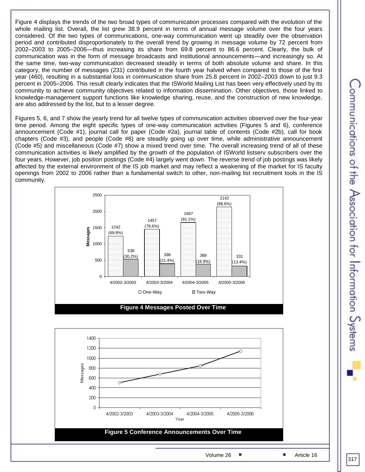Figure 4 displays the trends of the two broad types of communication processes compared with the evolution of the whole mailing list. Overall, the list grew 38.9 percent in terms of annual message volume over the four years considered. Of the two types of communications, one-way communication went up steadily over the observation period and contributed disproportionately to the overall trend by growing in message volume by 72 percent from 2002–2003 to 2005–2006—thus increasing its share from 69.8 percent to 86.6 percent. Clearly, the bulk of communication was in the form of message broadcasts and institutional announcements—and increasingly so. At the same time, two-way communication decreased steadily in terms of both absolute volume and share. In this category, the number of messages (231) contributed in the fourth year halved when compared to those of the first year (460), resulting in a substantial loss in communication share from 25.8 percent in 2002–2003 down to just 9.3 percent in 2005–2006. This result clearly indicates that the ISWorld Mailing List has been very effectively used by its community to achieve community objectives related to information dissemination. Other objectives, those linked to knowledge-management support functions like knowledge sharing, reuse, and the construction of new knowledge, are also addressed by the list, but to a lesser degree.

Figures 5, 6, and 7 show the yearly trend for all twelve types of communication activities observed over the four-year time period. Among the eight specific types of one-way communication activities (Figures 5 and 6), conference announcement (Code #1), journal call for paper (Code #2a), journal table of contents (Code #2b), call for book chapters (Code #3), and people (Code #6) are steadily going up over time, while administrative announcement (Code #5) and miscellaneous (Code #7) show a mixed trend over time. The overall increasing trend of all of these communication activities is likely amplified by the growth of the population of ISWorld listserv subscribers over the four years. However, job position postings (Code #4) largely went down. The reverse trend of job postings was likely affected by the external environment of the IS job market and may reflect a weakening of the market for IS faculty openings from 2002 to 2006 rather than a fundamental switch to other, non-mailing list recruitment tools in the IS community.

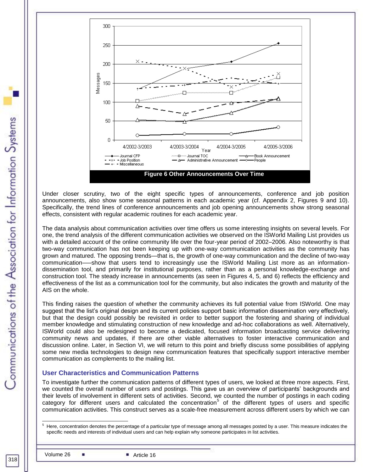

Under closer scrutiny, two of the eight specific types of announcements, conference and job position announcements, also show some seasonal patterns in each academic year (cf. Appendix 2, Figures 9 and 10). Specifically, the trend lines of conference announcements and job opening announcements show strong seasonal effects, consistent with regular academic routines for each academic year.

The data analysis about communication activities over time offers us some interesting insights on several levels. For one, the trend analysis of the different communication activities we observed on the ISWorld Mailing List provides us with a detailed account of the online community life over the four-year period of 2002–2006. Also noteworthy is that two-way communication has not been keeping up with one-way communication activities as the community has grown and matured. The opposing trends—that is, the growth of one-way communication and the decline of two-way communication–—show that users tend to increasingly use the ISWorld Mailing List more as an informationdissemination tool, and primarily for institutional purposes, rather than as a personal knowledge-exchange and construction tool. The steady increase in announcements (as seen in Figures 4, 5, and 6) reflects the efficiency and effectiveness of the list as a communication tool for the community, but also indicates the growth and maturity of the AIS on the whole.

This finding raises the question of whether the community achieves its full potential value from ISWorld. One may suggest that the list's original design and its current policies support basic information dissemination very effectively, but that the design could possibly be revisited in order to better support the fostering and sharing of individual member knowledge and stimulating construction of new knowledge and ad-hoc collaborations as well. Alternatively, ISWorld could also be redesigned to become a dedicated, focused information broadcasting service delivering community news and updates, if there are other viable alternatives to foster interactive communication and discussion online. Later, in Section VI, we will return to this point and briefly discuss some possibilities of applying some new media technologies to design new communication features that specifically support interactive member communication as complements to the mailing list.

#### **User Characteristics and Communication Patterns**

To investigate further the communication patterns of different types of users, we looked at three more aspects. First, we counted the overall number of users and postings. This gave us an overview of participants' backgrounds and their levels of involvement in different sets of activities. Second, we counted the number of postings in each coding category for different users and calculated the concentration<sup>5</sup> of the different types of users and specific communication activities. This construct serves as a scale-free measurement across different users by which we can

l <sup>5</sup> Here, concentration denotes the percentage of a particular type of message among all messages posted by a user. This measure indicates the specific needs and interests of individual users and can help explain why someone participates in list activities.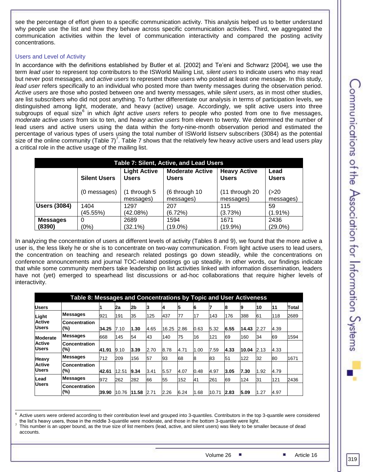see the percentage of effort given to a specific communication activity. This analysis helped us to better understand why people use the list and how they behave across specific communication activities. Third, we aggregated the communication activities within the level of communication interactivity and compared the posting activity concentrations.

#### Users and Level of Activity

In accordance with the definitions established by Butler et al. [2002] and Te'eni and Schwarz [2004], we use the term *lead user* to represent top contributors to the ISWorld Mailing List, *silent users* to indicate users who may read but never post messages, and *active users* to represent those users who posted at least one message. In this study, *lead user* refers specifically to an individual who posted more than twenty messages during the observation period. *Active users* are those who posted between one and twenty messages, while *silent users*, as in most other studies, are list subscribers who did not post anything. To further differentiate our analysis in terms of participation levels, we distinguished among light, moderate, and heavy (active) usage. Accordingly, we split active users into three subgroups of equal size<sup>6</sup> in which *light active users* refers to people who posted from one to five messages, *moderate active users* from six to ten, and *heavy active users* from eleven to twenty. We determined the number of lead users and active users using the data within the forty-nine-month observation period and estimated the percentage of various types of users using the total number of ISWorld listserv subscribers (3084) as the potential size of the online community (Table 7)<sup>7</sup>. Table 7 shows that the relatively few heavy active users and lead users play a critical role in the active usage of the mailing list.

| <b>Table 7: Silent, Active, and Lead Users</b> |                                                                                                                                                                     |                             |                            |                             |                    |  |  |  |  |  |
|------------------------------------------------|---------------------------------------------------------------------------------------------------------------------------------------------------------------------|-----------------------------|----------------------------|-----------------------------|--------------------|--|--|--|--|--|
|                                                | <b>Moderate Active</b><br><b>Light Active</b><br><b>Heavy Active</b><br>Lead<br><b>Users</b><br><b>Users</b><br><b>Silent Users</b><br><b>Users</b><br><b>Users</b> |                             |                            |                             |                    |  |  |  |  |  |
|                                                | (0 messages)                                                                                                                                                        | $(1$ through 5<br>messages) | (6 through 10<br>messages) | (11 through 20<br>messages) | (>20<br>messages)  |  |  |  |  |  |
| <b>Users (3084)</b>                            | 1404<br>(45.55%)                                                                                                                                                    | 1297<br>(42.08%)            | 207<br>(6.72%)             | 115<br>(3.73%)              | 59<br>$(1.91\%)$   |  |  |  |  |  |
| <b>Messages</b><br>(8390)                      | 0<br>(0%)                                                                                                                                                           | 2689<br>$(32.1\%)$          | 1594<br>$(19.0\%)$         | 1671<br>$(19.9\%)$          | 2436<br>$(29.0\%)$ |  |  |  |  |  |

In analyzing the concentration of users at different levels of activity (Tables 8 and 9), we found that the more active a user is, the less likely he or she is to concentrate on two-way communication. From light active users to lead users, the concentration on teaching and research related postings go down steadily, while the concentrations on conference announcements and journal TOC-related postings go up steadily. In other words, our findings indicate that while some community members take leadership on list activities linked with information dissemination, leaders have not (yet) emerged to spearhead list discussions or ad-hoc collaborations that require higher levels of interactivity.

|                               | Table 8: Messages and Concentrations by Topic and User Activeness |       |       |       |      |       |      |      |       |      |       |      |      |       |
|-------------------------------|-------------------------------------------------------------------|-------|-------|-------|------|-------|------|------|-------|------|-------|------|------|-------|
| <b>Users</b>                  |                                                                   |       | 2a    | 2b    | 13   | 14    | 5    | 6    |       | 8    | 9     | 10   | 11   | Total |
| Light                         | Messages                                                          | 921   | 191   | 35    | 125  | 437   | 77   | 17   | 143   | 176  | 388   | 61   | 118  | 2689  |
| <b>Active</b><br><b>Users</b> | Concentration<br>(%)                                              | 34.25 | 7.10  | 1.30  | 4.65 | 16.25 | 2.86 | 0.63 | 5.32  | 6.55 | 14.43 | 2.27 | 4.39 |       |
| <b>Moderate</b>               | Messages                                                          | 668   | 145   | 54    | 43   | 140   | 75   | 16   | 121   | 69   | 160   | 34   | 69   | 1594  |
| <b>Active</b><br><b>Users</b> | <b>Concentration</b><br>$(\%)$                                    | 41.91 | 9.10  | 3.39  | 2.70 | 8.78  | 4.71 | 1.00 | 7.59  | 4.33 | 10.04 | 2.13 | 4.33 |       |
| Heavy                         | <b>Messages</b>                                                   | 712   | 209   | 156   | 57   | 93    | 68   | 8    | 83    | 51   | 122   | 32   | 80   | 1671  |
| <b>Active</b><br><b>Users</b> | <b>Concentration</b><br>$(\%)$                                    | 42.61 | 12.51 | 9.34  | 3.41 | 5.57  | 4.07 | 0.48 | 4.97  | 3.05 | 7.30  | 1.92 | 4.79 |       |
| <b>Lead</b><br><b>Users</b>   | <b>Messages</b>                                                   | 972   | 262   | 282   | 66   | 55    | 152  | 41   | 261   | 69   | 124   | 31   | 121  | 2436  |
|                               | <b>Concentration</b><br>(%)                                       | 39.90 | 10.76 | 11.58 | 2.71 | 2.26  | 6.24 | 1.68 | 10.71 | 2.83 | 5.09  | 1.27 | 4.97 |       |

 <sup>6</sup> Active users were ordered according to their contribution level and grouped into 3-quantiles. Contributors in the top 3-quantile were considered the list's heavy users, those in the middle 3-quantile were moderate, and those in the bottom 3-quantile were light. 7 This number is an upper bound, as the true size of list members (lead, active, and silent users) was likely to be smaller because of dead

accounts.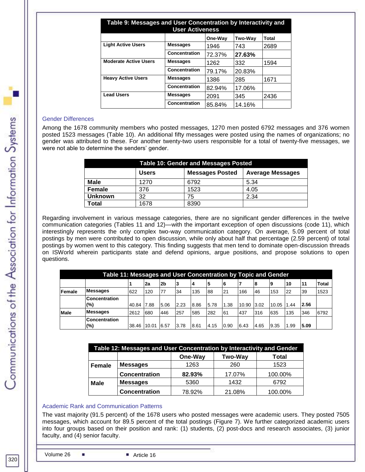| Table 9: Messages and User Concentration by Interactivity and<br><b>User Activeness</b> |                 |         |                |              |  |  |  |  |
|-----------------------------------------------------------------------------------------|-----------------|---------|----------------|--------------|--|--|--|--|
|                                                                                         |                 | One-Wav | <b>Two-Wav</b> | <b>Total</b> |  |  |  |  |
| <b>Light Active Users</b>                                                               | <b>Messages</b> | 1946    | 743            | 2689         |  |  |  |  |
|                                                                                         | Concentration   | 72.37%  | 27.63%         |              |  |  |  |  |
| <b>Moderate Active Users</b>                                                            | <b>Messages</b> | 1262    | 332            | 1594         |  |  |  |  |
|                                                                                         | Concentration   | 79.17%  | 20.83%         |              |  |  |  |  |
| <b>Heavy Active Users</b>                                                               | <b>Messages</b> | 1386    | 285            | 1671         |  |  |  |  |
|                                                                                         | Concentration   | 82.94%  | 17.06%         |              |  |  |  |  |
| <b>Lead Users</b>                                                                       | <b>Messages</b> | 2091    | 345            | 2436         |  |  |  |  |
|                                                                                         | Concentration   | 85.84%  | 14.16%         |              |  |  |  |  |

#### Gender Differences

Among the 1678 community members who posted messages, 1270 men posted 6792 messages and 376 women posted 1523 messages (Table 10). An additional fifty messages were posted using the names of organizations; no gender was attributed to these. For another twenty-two users responsible for a total of twenty-five messages, we were not able to determine the senders' gender.

| <b>Table 10: Gender and Messages Posted</b> |                                                                   |      |      |  |  |  |  |  |  |
|---------------------------------------------|-------------------------------------------------------------------|------|------|--|--|--|--|--|--|
|                                             | <b>Messages Posted</b><br><b>Average Messages</b><br><b>Users</b> |      |      |  |  |  |  |  |  |
| Male                                        | 1270                                                              | 6792 | 5.34 |  |  |  |  |  |  |
| <b>Female</b>                               | 376                                                               | 1523 | 4.05 |  |  |  |  |  |  |
| <b>Unknown</b>                              | 32                                                                | 75   | 2.34 |  |  |  |  |  |  |
| Total                                       | 1678                                                              | 8390 |      |  |  |  |  |  |  |

Regarding involvement in various message categories, there are no significant gender differences in the twelve communication categories (Tables 11 and 12)—with the important exception of open discussions (code 11), which interestingly represents the only complex two-way communication category. On average, 5.09 percent of total postings by men were contributed to open discussion, while only about half that percentage (2.59 percent) of total postings by women went to this category. This finding suggests that men tend to dominate open-discussion threads on ISWorld wherein participants state and defend opinions, argue positions, and propose solutions to open questions.

| Table 11: Messages and User Concentration by Topic and Gender |                             |       |       |                |      |                |      |      |       |       |       |     |      |              |
|---------------------------------------------------------------|-----------------------------|-------|-------|----------------|------|----------------|------|------|-------|-------|-------|-----|------|--------------|
|                                                               |                             |       | 2a    | 2 <sub>b</sub> | 3    | $\overline{4}$ |      |      |       | 8     | 9     | 10  | l11  | <b>Total</b> |
| Female                                                        | <b>Messages</b>             | 622   | 120   | 77             | 34   | 135            | 88   | 21   | 166   | 46    | 153   | 22  | 39   | 1523         |
|                                                               | <b>Concentration</b><br>(%) | 40.84 | 7.88  | 5.06           | 2.23 | 8.86           | 5.78 | 1.38 | 10.90 | 13.02 | 10.05 | .44 | 2.56 |              |
| <b>Male</b>                                                   | <b>Messages</b>             | 2612  | 680   | 446            | 257  | 585            | 282  | 61   | 437   | 316   | 635   | 135 | 346  | 6792         |
|                                                               | <b>Concentration</b><br>(%) | 38.46 | 10.01 | 6.57           | 3.78 | 8.61           | 4.15 | 0.90 | 6.43  | 4.65  | 9.35  | .99 | 5.09 |              |

| Table 12: Messages and User Concentration by Interactivity and Gender |                             |        |        |         |  |  |  |  |  |  |
|-----------------------------------------------------------------------|-----------------------------|--------|--------|---------|--|--|--|--|--|--|
|                                                                       | One-Way<br>Two-Way<br>Total |        |        |         |  |  |  |  |  |  |
| <b>Female</b>                                                         | <b>Messages</b>             | 1263   | 260    | 1523    |  |  |  |  |  |  |
|                                                                       | <b>Concentration</b>        | 82.93% | 17.07% | 100.00% |  |  |  |  |  |  |
| <b>Male</b>                                                           | <b>Messages</b>             | 5360   | 1432   | 6792    |  |  |  |  |  |  |
|                                                                       | <b>Concentration</b>        | 78.92% | 21.08% | 100.00% |  |  |  |  |  |  |

#### Academic Rank and Communication Patterns

The vast majority (91.5 percent) of the 1678 users who posted messages were academic users. They posted 7505 messages, which account for 89.5 percent of the total postings (Figure 7). We further categorized academic users into four groups based on their position and rank: (1) students, (2) post-docs and research associates, (3) junior faculty, and (4) senior faculty.

Communications of the Association for Information Systems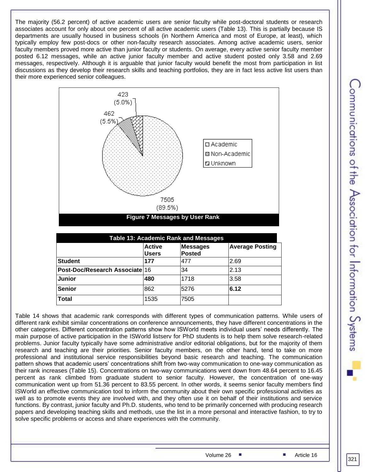The majority (56.2 percent) of active academic users are senior faculty while post-doctoral students or research associates account for only about one percent of all active academic users (Table 13). This is partially because IS departments are usually housed in business schools (in Northern America and most of Europe, at least), which typically employ few post-docs or other non-faculty research associates. Among active academic users, senior faculty members proved more active than junior faculty or students. On average, every active senior faculty member posted 6.12 messages, while an active junior faculty member and active student posted only 3.58 and 2.69 messages, respectively. Although it is arguable that junior faculty would benefit the most from participation in list discussions as they develop their research skills and teaching portfolios, they are in fact less active list users than their more experienced senior colleagues.



|                                |                               | <b>Table 13: Academic Rank and Messages</b> |                        |
|--------------------------------|-------------------------------|---------------------------------------------|------------------------|
|                                | <b>Active</b><br><b>Users</b> | <b>Messages</b><br><b>Posted</b>            | <b>Average Posting</b> |
| <b>Student</b>                 | 177                           | 477                                         | 2.69                   |
| Post-Doc/Research Associate 16 |                               | 34                                          | 2.13                   |
| <b>Junior</b>                  | 480                           | 1718                                        | 3.58                   |
| <b>Senior</b>                  | 862                           | 5276                                        | 6.12                   |
| <b>Total</b>                   | 1535                          | 7505                                        |                        |

Table 14 shows that academic rank corresponds with different types of communication patterns. While users of different rank exhibit similar concentrations on conference announcements, they have different concentrations in the other categories. Different concentration patterns show how ISWorld meets individual users' needs differently. The main purpose of active participation in the ISWorld listserv for PhD students is to help them solve research-related problems. Junior faculty typically have some administrative and/or editorial obligations, but for the majority of them research and teaching are their priorities. Senior faculty members, on the other hand, tend to take on more professional and institutional service responsibilities beyond basic research and teaching. The communication pattern shows that academic users' concentrations shift from two-way communication to one-way communication as their rank increases (Table 15). Concentrations on two-way communications went down from 48.64 percent to 16.45 percent as rank climbed from graduate student to senior faculty. However, the concentration of one-way communication went up from 51.36 percent to 83.55 percent. In other words, it seems senior faculty members find ISWorld an effective communication tool to inform the community about their own specific professional activities as well as to promote events they are involved with, and they often use it on behalf of their institutions and service functions. By contrast, junior faculty and Ph.D. students, who tend to be primarily concerned with producing research papers and developing teaching skills and methods, use the list in a more personal and interactive fashion, to try to solve specific problems or access and share experiences with the community.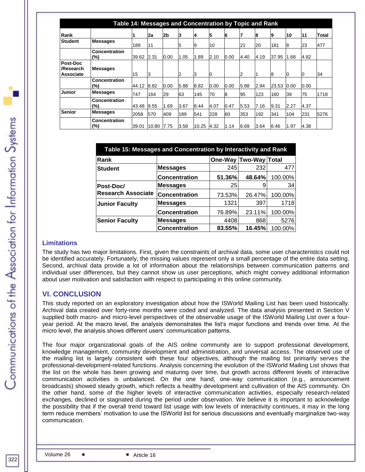| Table 14: Messages and Concentration by Topic and Rank |                             |       |       |      |      |       |      |      |      |      |       |      |      |       |
|--------------------------------------------------------|-----------------------------|-------|-------|------|------|-------|------|------|------|------|-------|------|------|-------|
| Rank                                                   |                             |       | 2a    | 2b   | 3    | 14    | 5    | 6    | 7    | 8    | 19    | 10   | 11   | Total |
| <b>Student</b>                                         | <b>Messages</b>             | 189   | 11    |      | 5    | 19    | 10   |      | 21   | 20   | 181   | 18   | 23   | 477   |
|                                                        | Concentration<br>(%)        | 39.62 | 2.31  | 0.00 | 1.05 | 1.89  | 2.10 | 0.00 | 4.40 | 4.19 | 37.95 | 1.68 | 4.82 |       |
| Post-Doc<br>/Research<br>Associate                     | <b>Messages</b>             | 15    | IЗ    |      | 12   | 3     | 0    |      | 12   |      | 8     | Ю    | IU.  | 34    |
|                                                        | <b>Concentration</b><br>(%) | 44.12 | 8.82  | 0.00 | 5.88 | 8.82  | 0.00 | 0.00 | 5.88 | 2.94 | 23.53 | 0.00 | 0.00 |       |
| <b>Junior</b>                                          | <b>Messages</b>             | 747   | 164   | 29   | 63   | 145   | 70   | 8    | 95   | 123  | 160   | 39   | 75   | 1718  |
|                                                        | Concentration<br>(%)        | 43.48 | 9.55  | 1.69 | 3.67 | 8.44  | 4.07 | 0.47 | 5.53 | 7.16 | 9.31  | 2.27 | 4.37 |       |
| <b>Senior</b>                                          | <b>Messages</b>             | 2058  | 570   | 409  | 189  | 541   | 228  | 60   | 353  | 192  | 341   | 104  | 231  | 5276  |
|                                                        | Concentration<br>(%)        | 39.01 | 10.80 | 7.75 | 3.58 | 10.25 | 4.32 | 1.14 | 6.69 | 3.64 | 6.46  | 1.97 | 4.38 |       |

|                           | Table 15: Messages and Concentration by Interactivity and Rank |        |                       |         |  |
|---------------------------|----------------------------------------------------------------|--------|-----------------------|---------|--|
| Rank                      |                                                                |        | One-Way Two-Way Total |         |  |
| <b>Student</b>            | <b>Messages</b>                                                | 245    | 232                   | 477     |  |
|                           | <b>Concentration</b>                                           | 51.36% | 48.64%                | 100.00% |  |
| Post-Doc/                 | <b>Messages</b>                                                | 25     |                       | 34      |  |
| <b>Research Associate</b> | <b>Concentration</b>                                           | 73.53% | 26.47%                | 100.00% |  |
| Junior Faculty            | <b>Messages</b>                                                | 1321   | 397                   | 1718    |  |
|                           | <b>Concentration</b>                                           | 76.89% | 23.11%                | 100.00% |  |
| <b>Senior Faculty</b>     | <b>Messages</b>                                                | 4408   | 868                   | 5276    |  |
|                           | <b>Concentration</b>                                           | 83.55% | 16.45%                | 100.00% |  |

#### **Limitations**

The study has two major limitations. First, given the constraints of archival data, some user characteristics could not be identified accurately. Fortunately, the missing values represent only a small percentage of the entire data setting. Second, archival data provide a lot of information about the relationships between communication patterns and individual user differences, but they cannot show us user perceptions, which might convey additional information about user motivation and satisfaction with respect to participating in this online community.

#### **VI. CONCLUSION**

This study reported on an exploratory investigation about how the ISWorld Mailing List has been used historically. Archival data created over forty-nine months were coded and analyzed. The data analysis presented in Section V supplied both macro- and micro-level perspectives of the observable usage of the ISWorld Mailing List over a fouryear period. At the macro level, the analysis demonstrates the list's major functions and trends over time. At the micro level, the analysis shows different users' communication patterns.

The four major organizational goals of the AIS online community are to support professional development, knowledge management, community development and administration, and universal access. The observed use of the mailing list is largely consistent with these four objectives, although the mailing list primarily serves the professional-development-related functions. Analysis concerning the evolution of the ISWorld Mailing List shows that the list on the whole has been growing and maturing over time, but growth across different levels of interactive communication activities is unbalanced. On the one hand, one-way communication (e.g., announcement broadcasts) showed steady growth, which reflects a healthy development and cultivation of the AIS community. On the other hand, some of the higher levels of interactive communication activities, especially research-related exchanges, declined or stagnated during the period under observation. We believe it is important to acknowledge the possibility that if the overall trend toward list usage with low levels of interactivity continues, it may in the long term reduce members' motivation to use the ISWorld list for serious discussions and eventually marginalize two-way communication.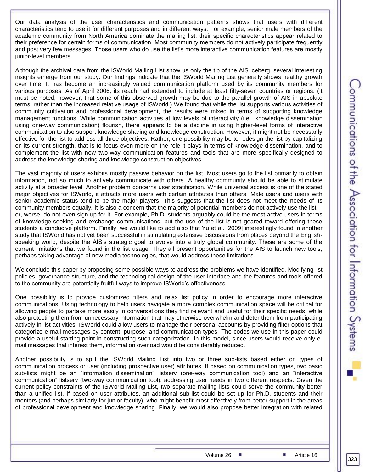Our data analysis of the user characteristics and communication patterns shows that users with different characteristics tend to use it for different purposes and in different ways. For example, senior male members of the academic community from North America dominate the mailing list; their specific characteristics appear related to their preference for certain forms of communication. Most community members do not actively participate frequently and post very few messages. Those users who do use the list's more interactive communication features are mostly junior-level members.

Although the archival data from the ISWorld Mailing List show us only the tip of the AIS iceberg, several interesting insights emerge from our study. Our findings indicate that the ISWorld Mailing List generally shows healthy growth over time. It has become an increasingly valued communication platform used by its community members for various purposes. As of April 2006, its reach had extended to include at least fifty-seven countries or regions. (It must be noted, however, that some of this observed growth may be due to the parallel growth of AIS in absolute terms, rather than the increased relative usage of ISWorld.) We found that while the list supports various activities of community cultivation and professional development, the results were mixed in terms of supporting knowledge management functions. While communication activities at low levels of interactivity (i.e., knowledge dissemination using one-way communication) flourish, there appears to be a decline in using higher-level forms of interactive communication to also support knowledge sharing and knowledge construction. However, it might not be necessarily effective for the list to address all three objectives. Rather, one possibility may be to redesign the list by capitalizing on its current strength, that is to focus even more on the role it plays in terms of knowledge dissemination, and to complement the list with new two-way communication features and tools that are more specifically designed to address the knowledge sharing and knowledge construction objectives.

The vast majority of users exhibits mostly passive behavior on the list. Most users go to the list primarily to obtain information, not so much to actively communicate with others. A healthy community should be able to stimulate activity at a broader level. Another problem concerns user stratification. While universal access is one of the stated major objectives for ISWorld, it attracts more users with certain attributes than others. Male users and users with senior academic status tend to be the major players. This suggests that the list does not meet the needs of its community members equally. It is also a concern that the majority of potential members do not actively use the list or, worse, do not even sign up for it. For example, Ph.D. students arguably could be the most active users in terms of knowledge-seeking and exchange communications, but the use of the list is not geared toward offering these students a conducive platform. Finally, we would like to add also that Yu et al. [2009] interestingly found in another study that ISWorld has not yet been successful in stimulating extensive discussions from places beyond the Englishspeaking world, despite the AIS's strategic goal to evolve into a truly global community. These are some of the current limitations that we found in the list usage. They all present opportunities for the AIS to launch new tools, perhaps taking advantage of new media technologies, that would address these limitations.

We conclude this paper by proposing some possible ways to address the problems we have identified. Modifying list policies, governance structure, and the technological design of the user interface and the features and tools offered to the community are potentially fruitful ways to improve ISWorld's effectiveness.

One possibility is to provide customized filters and relax list policy in order to encourage more interactive communications. Using technology to help users navigate a more complex communication space will be critical for allowing people to partake more easily in conversations they find relevant and useful for their specific needs, while also protecting them from unnecessary information that may otherwise overwhelm and deter them from participating actively in list activities. ISWorld could allow users to manage their personal accounts by providing filter options that categorize e-mail messages by content, purpose, and communication types. The codes we use in this paper could provide a useful starting point in constructing such categorization. In this model, since users would receive only email messages that interest them, information overload would be considerably reduced.

Another possibility is to split the ISWorld Mailing List into two or three sub-lists based either on types of communication process or user (including prospective user) attributes. If based on communication types, two basic sub-lists might be an "information dissemination" listserv (one-way communication tool) and an "interactive communication" listserv (two-way communication tool), addressing user needs in two different respects. Given the current policy constraints of the ISWorld Mailing List, two separate mailing lists could serve the community better than a unified list. If based on user attributes, an additional sub-list could be set up for Ph.D. students and their mentors (and perhaps similarly for junior faculty), who might benefit most effectively from better support in the areas of professional development and knowledge sharing. Finally, we would also propose better integration with related

323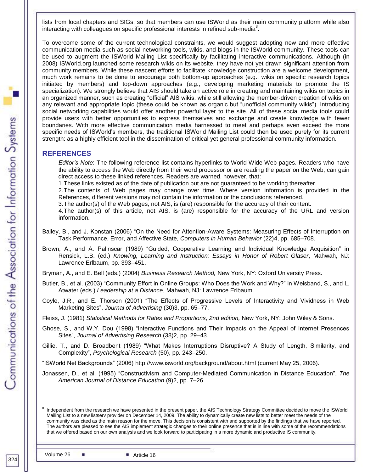lists from local chapters and SIGs, so that members can use ISWorld as their main community platform while also interacting with colleagues on specific professional interests in refined sub-media<sup>8</sup>.

To overcome some of the current technological constraints, we would suggest adopting new and more effective communication media such as social networking tools, wikis, and blogs in the ISWorld community. These tools can be used to augment the ISWorld Mailing List specifically by facilitating interactive communications. Although (in 2008) ISWorld.org launched some research wikis on its website, they have not yet drawn significant attention from community members. While these nascent efforts to facilitate knowledge construction are a welcome development, much work remains to be done to encourage both bottom-up approaches (e.g., wikis on specific research topics initiated by members) and top-down approaches (e.g., developing marketing materials to promote the IS specialization). We strongly believe that AIS should take an active role in creating and maintaining wikis on topics in an organized manner, such as creating "official" AIS wikis, while still allowing the member-driven creation of wikis on any relevant and appropriate topic (these could be known as organic but "unofficial community wikis"). Introducing social networking capabilities would offer another powerful layer to the site. All of these social media tools could provide users with better opportunities to express themselves and exchange and create knowledge with fewer boundaries. With more effective communication media harnessed to meet and perhaps even exceed the more specific needs of ISWorld's members, the traditional ISWorld Mailing List could then be used purely for its current strength: as a highly efficient tool in the dissemination of critical yet general professional community information.

#### **REFERENCES**

*Editor's Note*: The following reference list contains hyperlinks to World Wide Web pages. Readers who have the ability to access the Web directly from their word processor or are reading the paper on the Web, can gain direct access to these linked references. Readers are warned, however, that:

1.These links existed as of the date of publication but are not guaranteed to be working thereafter.

2.The contents of Web pages may change over time. Where version information is provided in the References, different versions may not contain the information or the conclusions referenced.

3.The author(s) of the Web pages, not AIS, is (are) responsible for the accuracy of their content.

4.The author(s) of this article, not AIS, is (are) responsible for the accuracy of the URL and version information.

- Bailey, B., and J. Konstan (2006) "On the Need for Attention-Aware Systems: Measuring Effects of Interruption on Task Performance, Error, and Affective State, *Computers in Human Behavior* (22)4, pp. 685–708.
- Brown, A., and A. Palinscar (1989) "Guided, Cooperative Learning and Individual Knowledge Acquisition" in Rensick, L.B. (ed.) *Knowing, Learning and Instruction: Essays in Honor of Robert Glaser*, Mahwah, NJ: Lawrence Erlbaum, pp. 393–451.

Bryman, A., and E. Bell (eds.) (2004) *Business Research Method,* New York, NY: Oxford University Press.

- Butler, B., et al. (2003) "Community Effort in Online Groups: Who Does the Work and Why?" in Weisband, S., and L. Atwater (eds.) *Leadership at a Distance*, Mahwah, NJ: Lawrence Erlbaum.
- Coyle, J.R., and E. Thorson (2001) "The Effects of Progressive Levels of Interactivity and Vividness in Web Marketing Sites‖, *Journal of Advertising* (30)3, pp. 65–77.

Fleiss, J. (1981) *Statistical Methods for Rates and Proportions, 2nd edition,* New York, NY: John Wiley & Sons.

- Ghose, S., and W.Y. Dou (1998) "Interactive Functions and Their Impacts on the Appeal of Internet Presences Sites", *Journal of Advertising Research* (38)2, pp. 29–43.
- Gillie, T., and D. Broadbent (1989) "What Makes Interruptions Disruptive? A Study of Length, Similarity, and Complexity‖, *Psychological Research* (50), pp. 243–250.

―ISWorld Net Backgrounds‖ (2006) [http://www.isworld.org/background/about.html](http://www.isworld.org/background/about.htm) (current May 25, 2006).

Jonassen, D., et al. (1995) "Constructivism and Computer-Mediated Communication in Distance Education", The *American Journal of Distance Education* (9)2, pp. 7–26.

l

<sup>8</sup> Independent from the research we have presented in the present paper, the AIS Technology Strategy Committee decided to move the ISWorld Mailing List to a new listserv provider on December 14, 2009. The ability to dynamically create new lists to better meet the needs of the community was cited as the main reason for the move. This decision is consistent with and supported by the findings that we have reported. The authors are pleased to see the AIS implement strategic changes to their online presence that is in line with some of the recommendations that we offered based on our own analysis and we look forward to participating in a more dynamic and productive IS community.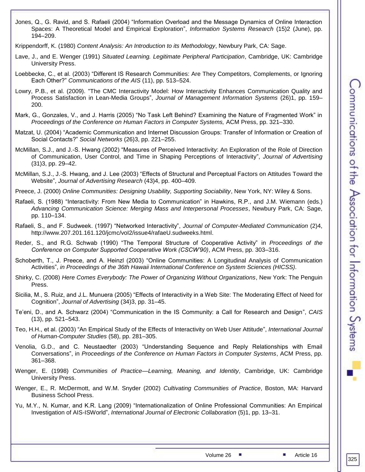- Jones, Q., G. Ravid, and S. Rafaeli (2004) "Information Overload and the Message Dynamics of Online Interaction Spaces: A Theoretical Model and Empirical Exploration", Information Systems Research (15)2 (June), pp. 194–209.
- Krippendorff, K. (1980) *Content Analysis: An Introduction to its Methodology*, Newbury Park, CA: Sage.
- Lave, J., and E. Wenger (1991) *Situated Learning. Legitimate Peripheral Participation*, Cambridge, UK: Cambridge University Press.
- Loebbecke, C., et al. (2003) "Different IS Research Communities: Are They Competitors, Complements, or Ignoring Each Other?" *Communications of the AIS* (11), pp. 513–524.
- Lowry, P.B., et al. (2009). "The CMC Interactivity Model: How Interactivity Enhances Communication Quality and Process Satisfaction in Lean-Media Groups", Journal of Management Information Systems (26)1, pp. 159-200.
- Mark, G., Gonzales, V., and J. Harris (2005) "No Task Left Behind? Examining the Nature of Fragmented Work" in *Proceedings of the Conference on Human Factors in Computer Systems,* ACM Press, pp. 321–330.
- Matzat, U. (2004) "Academic Communication and Internet Discussion Groups: Transfer of Information or Creation of Social Contacts?‖ *Social Networks* (26)3, pp. 221–255.
- McMillan, S.J., and J.-S. Hwang (2002) "Measures of Perceived Interactivity: An Exploration of the Role of Direction of Communication, User Control, and Time in Shaping Perceptions of Interactivity", *Journal of Advertising* (31)3, pp. 29–42.
- McMillan, S.J., J.-S. Hwang, and J. Lee (2003) "Effects of Structural and Perceptual Factors on Attitudes Toward the Website‖, *Journal of Advertising Research* (43)4, pp. 400–409.
- Preece, J. (2000) *Online Communities: Designing Usability, Supporting Sociability*, New York, NY: Wiley & Sons.
- Rafaeli, S. (1988) "Interactivity: From New Media to Communication" in Hawkins, R.P., and J.M. Wiemann (eds.) *Advancing Communication Science: Merging Mass and Interpersonal Processes*, Newbury Park, CA: Sage, pp. 110–134.
- Rafaeli, S., and F. Sudweek. (1997) "Networked Interactivity", *Journal of Computer-Mediated Communication* (2)4, [http://www.207.201.161.120/jcmc/voI2/issue4/rafaeU.sudweeks.html.](http://www.207.201.161.120/jcmc/voI2/issue4/rafaeU.sudweeks.html)
- Reder, S., and R.G. Schwab (1990) "The Temporal Structure of Cooperative Activity" in *Proceedings of the Conference on Computer Supported Cooperative Work (CSCW'90)*, ACM Press, pp. 303–316.
- Schoberth, T., J. Preece, and A. Heinzl (2003) "Online Communities: A Longitudinal Analysis of Communication Activities‖, *in Proceedings of the 36th Hawaii International Conference on System Sciences (HICSS).*
- Shirky, C. (2008) *Here Comes Everybody: The Power of Organizing Without Organizations*, New York: The Penguin Press.
- Sicilia, M., S. Ruiz, and J.L. Munuera (2005) "Effects of Interactivity in a Web Site: The Moderating Effect of Need for Cognition‖, *Journal of Advertising* (34)3, pp. 31–45.
- Te'eni, D., and A. Schwarz (2004) "Communication in the IS Community: a Call for Research and Design", *CAIS* (13), pp. 521–543.
- Teo, H.H., et al. (2003) "An Empirical Study of the Effects of Interactivity on Web User Attitude", *International Journal of Human-Computer Studies* (58), pp. 281–305.
- Venolia, G.D., and C. Neustaedter (2003) "Understanding Sequence and Reply Relationships with Email Conversations‖, in *Proceedings of the Conference on Human Factors in Computer Systems*, ACM Press, pp. 361–368.
- Wenger, E. (1998) *Communities of Practice—Learning, Meaning, and Identity*, Cambridge, UK: Cambridge University Press.
- Wenger, E., R. McDermott, and W.M. Snyder (2002) *Cultivating Communities of Practice*, Boston, MA: Harvard Business School Press.
- Yu, M.Y., N. Kumar, and K.R. Lang (2009) "Internationalization of Online Professional Communities: An Empirical Investigation of AIS-ISWorld‖, *International Journal of Electronic Collaboration* (5)1, pp. 13–31.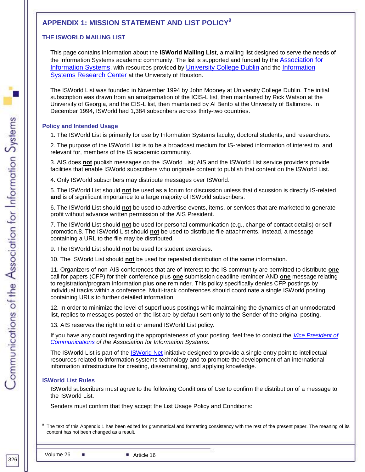# **APPENDIX 1: MISSION STATEMENT AND LIST POLICY<sup>9</sup>**

#### **THE ISWORLD MAILING LIST**

This page contains information about the **ISWorld Mailing List**, a mailing list designed to serve the needs of the Information Systems academic community. The list is supported and funded by the [Association for](http://www.aisnet.org/)  [Information Systems](http://www.aisnet.org/), with resources provided by [University College Dublin](http://www.ucd.ie/) and the [Information](http://www.uhisrc.com/)  [Systems Research Center](http://www.uhisrc.com/) at the University of Houston.

The ISWorld List was founded in November 1994 by John Mooney at University College Dublin. The initial subscription was drawn from an amalgamation of the ICIS-L list, then maintained by Rick Watson at the University of Georgia, and the CIS-L list, then maintained by Al Bento at the University of Baltimore. In December 1994, ISWorld had 1,384 subscribers across thirty-two countries.

#### **Policy and Intended Usage**

1. The ISWorld List is primarily for use by Information Systems faculty, doctoral students, and researchers.

2. The purpose of the ISWorld List is to be a broadcast medium for IS-related information of interest to, and relevant for, members of the IS academic community.

3. AIS does **not** publish messages on the ISWorld List; AIS and the ISWorld List service providers provide facilities that enable ISWorld subscribers who originate content to publish that content on the ISWorld List.

4. Only ISWorld subscribers may distribute messages over ISWorld.

5. The ISWorld List should **not** be used as a forum for discussion unless that discussion is directly IS-related **and** is of significant importance to a large majority of ISWorld subscribers.

6. The ISWorld List should **not** be used to advertise events, items, or services that are marketed to generate profit without advance written permission of the AIS President.

7. The ISWorld List should **not** be used for personal communication (e.g., change of contact details) or selfpromotion.8. The ISWorld List should **not** be used to distribute file attachments. Instead, a message containing a URL to the file may be distributed.

9. The ISWorld List should **not** be used for student exercises.

10. The ISWorld List should **not** be used for repeated distribution of the same information.

11. Organizers of non-AIS conferences that are of interest to the IS community are permitted to distribute **one** call for papers (CFP) for their conference plus **one** submission deadline reminder AND **one** message relating to registration/program information plus **one** reminder. This policy specifically denies CFP postings by individual tracks within a conference. Multi-track conferences should coordinate a single ISWorld posting containing URLs to further detailed information.

12. In order to minimize the level of superfluous postings while maintaining the dynamics of an unmoderated list, replies to messages posted on the list are by default sent only to the Sender of the original posting.

13. AIS reserves the right to edit or amend ISWorld List policy.

If you have any doubt regarding the appropriateness of your posting, feel free to contact the *[Vice President of](http://www.aisnet.org/directory.shtml#council)  [Communications](http://www.aisnet.org/directory.shtml#council) of the Association for Information Systems.*

The ISWorld List is part of the [ISWorld Net](http://www.isworld.org/) initiative designed to provide a single entry point to intellectual resources related to information systems technology and to promote the development of an international information infrastructure for creating, disseminating, and applying knowledge.

#### **ISWorld List Rules**

ISWorld subscribers must agree to the following Conditions of Use to confirm the distribution of a message to the ISWorld List.

Senders must confirm that they accept the List Usage Policy and Conditions:

<sup>-&</sup>lt;br>9 The text of this Appendix 1 has been edited for grammatical and formatting consistency with the rest of the present paper. The meaning of its content has not been changed as a result.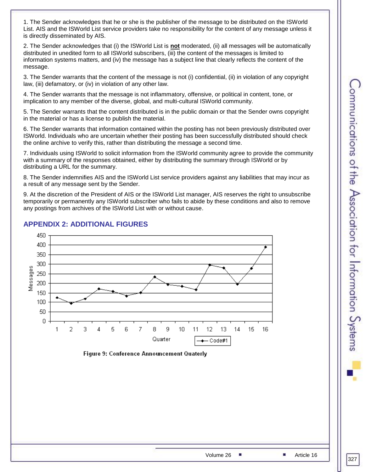1. The Sender acknowledges that he or she is the publisher of the message to be distributed on the ISWorld List. AIS and the ISWorld List service providers take no responsibility for the content of any message unless it is directly disseminated by AIS.

2. The Sender acknowledges that (i) the ISWorld List is **not** moderated, (ii) all messages will be automatically distributed in unedited form to all ISWorld subscribers, (iii) the content of the messages is limited to information systems matters, and (iv) the message has a subject line that clearly reflects the content of the message.

3. The Sender warrants that the content of the message is not (i) confidential, (ii) in violation of any copyright law, (iii) defamatory, or (iv) in violation of any other law.

4. The Sender warrants that the message is not inflammatory, offensive, or political in content, tone, or implication to any member of the diverse, global, and multi-cultural ISWorld community.

5. The Sender warrants that the content distributed is in the public domain or that the Sender owns copyright in the material or has a license to publish the material.

6. The Sender warrants that information contained within the posting has not been previously distributed over ISWorld. Individuals who are uncertain whether their posting has been successfully distributed should check the online archive to verify this, rather than distributing the message a second time.

7. Individuals using ISWorld to solicit information from the ISWorld community agree to provide the community with a summary of the responses obtained, either by distributing the summary through ISWorld or by distributing a URL for the summary.

8. The Sender indemnifies AIS and the ISWorld List service providers against any liabilities that may incur as a result of any message sent by the Sender.

9. At the discretion of the President of AIS or the ISWorld List manager, AIS reserves the right to unsubscribe temporarily or permanently any ISWorld subscriber who fails to abide by these conditions and also to remove any postings from archives of the ISWorld List with or without cause.



# **APPENDIX 2: ADDITIONAL FIGURES**

**Figure 9: Conference Announcement Quaterly**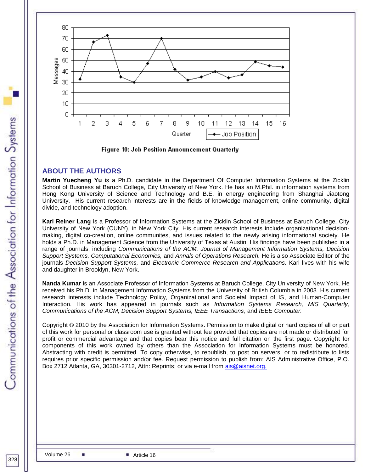

**Figure 10: Job Position Announcement Quarterly** 

# **ABOUT THE AUTHORS**

**Martin Yuecheng Yu** is a Ph.D. candidate in the Department Of Computer Information Systems at the Zicklin School of Business at Baruch College, City University of New York. He has an M.Phil. in information systems from Hong Kong University of Science and Technology and B.E. in energy engineering from Shanghai Jiaotong University. His current research interests are in the fields of knowledge management, online community, digital divide, and technology adoption.

**Karl Reiner Lang** is a Professor of Information Systems at the Zicklin School of Business at Baruch College, City University of New York (CUNY), in New York City. His current research interests include organizational decisionmaking, digital co-creation, online communites, and issues related to the newly arising informational society. He holds a Ph.D. in Management Science from the University of Texas at Austin. His findings have been published in a range of journals, including *Communications of the ACM, Journal of Management Information Systems, Decision Support Systems, Computational Economics,* and *Annals of Operations Research.* He is also Associate Editor of the journals *Decision Support Systems,* and *Electronic Commerce Research and Applications.* Karl lives with his wife and daughter in Brooklyn, New York.

**Nanda Kumar** is an Associate Professor of Information Systems at Baruch College, City University of New York. He received his Ph.D. in Management Information Systems from the University of British Columbia in 2003. His current research interests include Technology Policy, Organizational and Societal Impact of IS, and Human-Computer Interaction. His work has appeared in journals such as *Information Systems Research, MIS Quarterly, Communications of the ACM, Decision Support Systems, IEEE Transactions*, and *IEEE Computer.*

Copyright © 2010 by the Association for Information Systems. Permission to make digital or hard copies of all or part of this work for personal or classroom use is granted without fee provided that copies are not made or distributed for profit or commercial advantage and that copies bear this notice and full citation on the first page. Copyright for components of this work owned by others than the Association for Information Systems must be honored. Abstracting with credit is permitted. To copy otherwise, to republish, to post on servers, or to redistribute to lists requires prior specific permission and/or fee. Request permission to publish from: AIS Administrative Office, P.O. Box 2712 Atlanta, GA, 30301-2712, Attn: Reprints; or via e-mail from [ais@aisnet.org.](mailto:ais@gsu.edu)